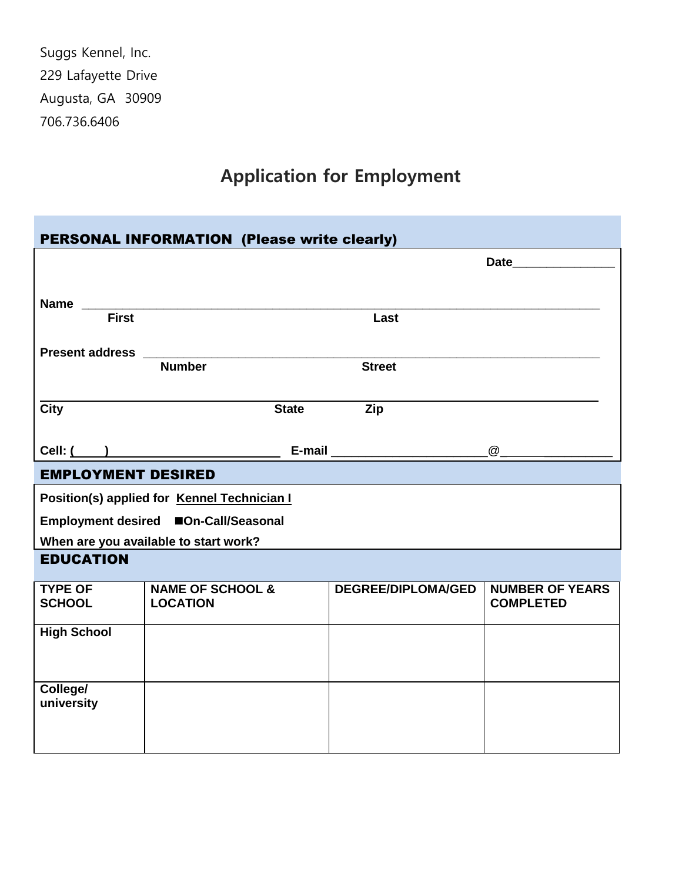Suggs Kennel, Inc. 229 Lafayette Drive Augusta, GA 30909 706.736.6406

## **Application for Employment**

| <b>PERSONAL INFORMATION (Please write clearly)</b> |                                                                                                                                                                                                                                |                                                                                                                                                                                                                                |                                            |  |  |
|----------------------------------------------------|--------------------------------------------------------------------------------------------------------------------------------------------------------------------------------------------------------------------------------|--------------------------------------------------------------------------------------------------------------------------------------------------------------------------------------------------------------------------------|--------------------------------------------|--|--|
|                                                    |                                                                                                                                                                                                                                | Date                                                                                                                                                                                                                           |                                            |  |  |
|                                                    |                                                                                                                                                                                                                                |                                                                                                                                                                                                                                |                                            |  |  |
|                                                    | Name First Terman Reserves And Terms and Terms and Terms and Terms and Terms and Terms and Terms and Terms and Terms and Terms and Terms and Terms and Terms and Terms and Terms and Terms and Terms and Terms and Terms and T |                                                                                                                                                                                                                                |                                            |  |  |
|                                                    |                                                                                                                                                                                                                                | Last                                                                                                                                                                                                                           |                                            |  |  |
|                                                    |                                                                                                                                                                                                                                |                                                                                                                                                                                                                                |                                            |  |  |
|                                                    | <b>Number</b>                                                                                                                                                                                                                  | <b>Street</b>                                                                                                                                                                                                                  |                                            |  |  |
|                                                    |                                                                                                                                                                                                                                | <b>Zip</b>                                                                                                                                                                                                                     |                                            |  |  |
| <b>City</b>                                        | <b>State</b>                                                                                                                                                                                                                   |                                                                                                                                                                                                                                |                                            |  |  |
|                                                    | $Cell: ($ and $)$                                                                                                                                                                                                              | E-mail expression and the set of the set of the set of the set of the set of the set of the set of the set of the set of the set of the set of the set of the set of the set of the set of the set of the set of the set of th |                                            |  |  |
| <b>EMPLOYMENT DESIRED</b>                          |                                                                                                                                                                                                                                |                                                                                                                                                                                                                                |                                            |  |  |
| Position(s) applied for Kennel Technician I        |                                                                                                                                                                                                                                |                                                                                                                                                                                                                                |                                            |  |  |
| Employment desired ■On-Call/Seasonal               |                                                                                                                                                                                                                                |                                                                                                                                                                                                                                |                                            |  |  |
| When are you available to start work?              |                                                                                                                                                                                                                                |                                                                                                                                                                                                                                |                                            |  |  |
| <b>EDUCATION</b>                                   |                                                                                                                                                                                                                                |                                                                                                                                                                                                                                |                                            |  |  |
| <b>TYPE OF</b><br><b>SCHOOL</b>                    | <b>NAME OF SCHOOL &amp;</b><br><b>LOCATION</b>                                                                                                                                                                                 | <b>DEGREE/DIPLOMA/GED</b>                                                                                                                                                                                                      | <b>NUMBER OF YEARS</b><br><b>COMPLETED</b> |  |  |
| <b>High School</b>                                 |                                                                                                                                                                                                                                |                                                                                                                                                                                                                                |                                            |  |  |
|                                                    |                                                                                                                                                                                                                                |                                                                                                                                                                                                                                |                                            |  |  |
|                                                    |                                                                                                                                                                                                                                |                                                                                                                                                                                                                                |                                            |  |  |
| College/                                           |                                                                                                                                                                                                                                |                                                                                                                                                                                                                                |                                            |  |  |
| university                                         |                                                                                                                                                                                                                                |                                                                                                                                                                                                                                |                                            |  |  |
|                                                    |                                                                                                                                                                                                                                |                                                                                                                                                                                                                                |                                            |  |  |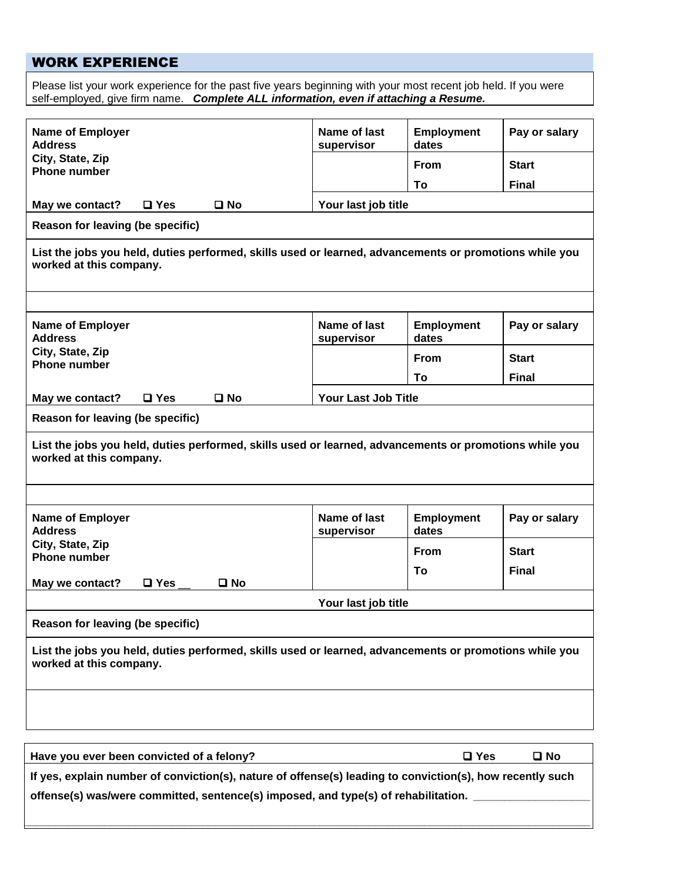## WORK EXPERIENCE

Please list your work experience for the past five years beginning with your most recent job held. If you were self-employed, give firm name.*Complete ALL information, even if attaching a Resume.*

| <b>Name of Employer</b><br><b>Address</b>                                                                                                              |               |              | Name of last<br>supervisor | <b>Employment</b><br>dates | Pay or salary |
|--------------------------------------------------------------------------------------------------------------------------------------------------------|---------------|--------------|----------------------------|----------------------------|---------------|
| City, State, Zip<br><b>Phone number</b>                                                                                                                |               |              |                            | <b>From</b>                | <b>Start</b>  |
|                                                                                                                                                        |               |              |                            | To                         | <b>Final</b>  |
| May we contact?                                                                                                                                        | $\Box$ Yes    | $\square$ No | Your last job title        |                            |               |
| Reason for leaving (be specific)                                                                                                                       |               |              |                            |                            |               |
| List the jobs you held, duties performed, skills used or learned, advancements or promotions while you<br>worked at this company.                      |               |              |                            |                            |               |
|                                                                                                                                                        |               |              |                            |                            |               |
| <b>Name of Employer</b><br><b>Address</b>                                                                                                              |               |              | Name of last<br>supervisor | <b>Employment</b><br>dates | Pay or salary |
| City, State, Zip<br><b>Phone number</b>                                                                                                                |               |              |                            | <b>From</b>                | <b>Start</b>  |
|                                                                                                                                                        |               |              |                            | To                         | <b>Final</b>  |
| May we contact?                                                                                                                                        | $\Box$ Yes    | $\square$ No | <b>Your Last Job Title</b> |                            |               |
| Reason for leaving (be specific)                                                                                                                       |               |              |                            |                            |               |
| List the jobs you held, duties performed, skills used or learned, advancements or promotions while you<br>worked at this company.                      |               |              |                            |                            |               |
|                                                                                                                                                        |               |              |                            |                            |               |
| <b>Name of Employer</b><br><b>Address</b>                                                                                                              |               |              | Name of last<br>supervisor | <b>Employment</b><br>dates | Pay or salary |
| City, State, Zip<br><b>Phone number</b>                                                                                                                |               |              |                            | <b>From</b>                | <b>Start</b>  |
|                                                                                                                                                        |               |              |                            | Т٥                         | <b>Final</b>  |
| May we contact?                                                                                                                                        | $\square$ Yes | $\square$ No |                            |                            |               |
|                                                                                                                                                        |               |              | Your last job title        |                            |               |
| Reason for leaving (be specific)                                                                                                                       |               |              |                            |                            |               |
| List the jobs you held, duties performed, skills used or learned, advancements or promotions while you<br>worked at this company.                      |               |              |                            |                            |               |
|                                                                                                                                                        |               |              |                            |                            |               |
|                                                                                                                                                        |               |              |                            | $\square$ Yes              | $\square$ No  |
| Have you ever been convicted of a felony?<br>If yes, explain number of conviction(s), nature of offense(s) leading to conviction(s), how recently such |               |              |                            |                            |               |
| offense(s) was/were committed, sentence(s) imposed, and type(s) of rehabilitation.                                                                     |               |              |                            |                            |               |
|                                                                                                                                                        |               |              |                            |                            |               |

**\_\_\_\_\_\_\_\_\_\_\_\_\_\_\_\_\_\_\_\_\_\_\_\_\_\_\_\_\_\_\_\_\_\_\_\_\_\_\_\_\_\_\_\_\_\_\_\_\_\_\_\_\_\_\_\_\_\_\_\_\_\_\_\_\_\_\_\_\_\_\_\_\_\_\_\_\_\_\_\_\_\_\_\_\_\_\_\_\_\_\_\_**